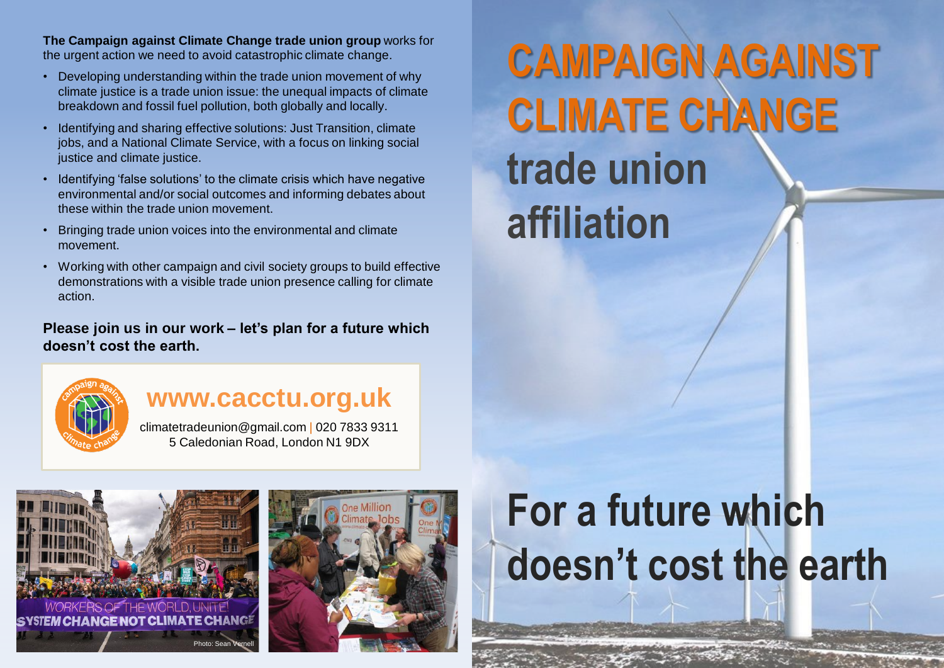**The Campaign against Climate Change trade union group** works for the urgent action we need to avoid catastrophic climate change.

- Developing understanding within the trade union movement of why climate justice is a trade union issue: the unequal impacts of climate breakdown and fossil fuel pollution, both globally and locally.
- Identifying and sharing effective solutions: Just Transition, climate jobs, and a National Climate Service, with a focus on linking social justice and climate justice.
- Identifying 'false solutions' to the climate crisis which have negative environmental and/or social outcomes and informing debates about these within the trade union movement.
- Bringing trade union voices into the environmental and climate movement.
- Working with other campaign and civil society groups to build effective demonstrations with a visible trade union presence calling for climate action.

### **Please join us in our work – let's plan for a future which doesn't cost the earth.**



## **www.cacctu.org.uk**

climatetradeunion@gmail.com | 020 7833 9311 5 Caledonian Road, London N1 9DX





# **CAMPAIGN AGAINST CLIMATE CHANGE trade union affiliation**

# **For a future which doesn't cost the earth**